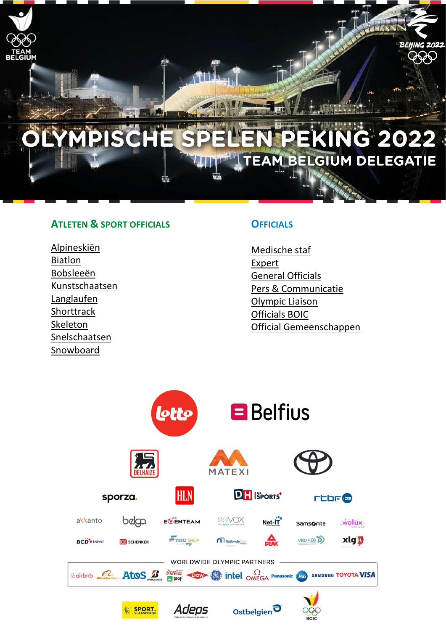

### **ATLETEN & SPORT OFFICIALS**

Alpineskiën [Biatlon](#page-1-0) [Bobsleeën](#page-2-0) [Kunstschaatsen](#page-4-0) Langlaufen Shorttrack [Skeleton](#page-6-0) [Snelschaatsen](#page-5-0) [Snowboard](#page-7-0)

### **OFFICIALS**

[Medische staf](#page-7-1) [Expert](#page-8-0) [General Officials](#page-8-1) Pers [& Communicatie](#page-8-2) [Olympic Liaison](#page-9-0) [Officials BOIC](#page-9-1) Official [Gemeenschappen](#page-9-2)

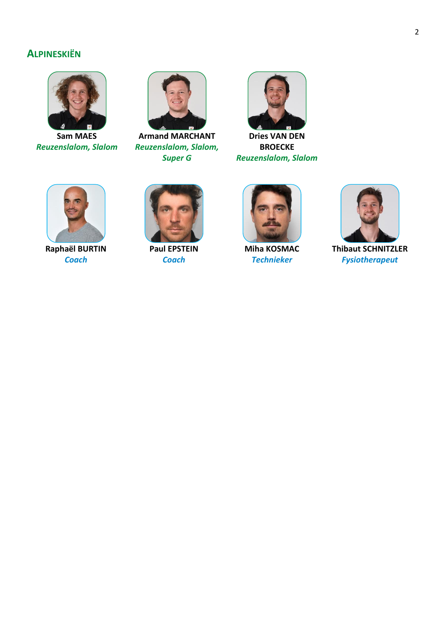# <span id="page-1-0"></span>**ALPINESKIËN**



**Sam MAES** *Reuzenslalom, Slalom*



**Armand MARCHANT** *Reuzenslalom, Slalom, Super G*



**Dries VAN DEN BROECKE** *Reuzenslalom, Slalom*



**Raphaël BURTIN** *Coach*



**Paul EPSTEIN** *Coach*



**Miha KOSMAC** *Technieker*



**Thibaut SCHNITZLER** *Fysiotherapeut*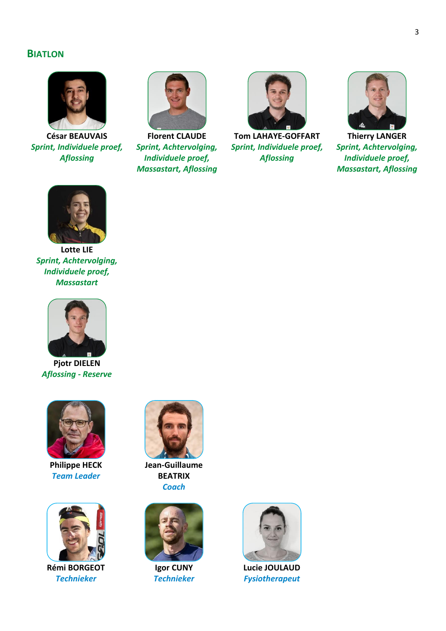#### **BIATLON**



**César BEAUVAIS** *Sprint, Individuele proef, Aflossing*



**Florent CLAUDE** *Sprint, Achtervolging, Individuele proef, Massastart, Aflossing*



**Tom LAHAYE-GOFFART** *Sprint, Individuele proef, Aflossing*



**Thierry LANGER** *Sprint, Achtervolging, Individuele proef, Massastart, Aflossing*



**Lotte LIE** *Sprint, Achtervolging, Individuele proef, Massastart*



**Pjotr DIELEN** *Aflossing - Reserve*



**Philippe HECK** *Team Leader*

<span id="page-2-0"></span>

**Rémi BORGEOT** *Technieker*



**Jean-Guillaume BEATRIX** *Coach*



**Igor CUNY** *Technieker*



**Lucie JOULAUD** *Fysiotherapeut*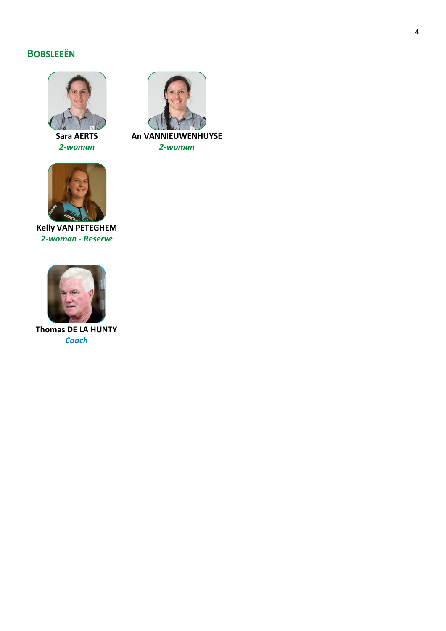# **BOBSLEEËN**



**Sara AERTS** *2-woman*



**Kelly VAN PETEGHEM** *2-woman - Reserve*



**Thomas DE LA HUNTY** *Coach*



**An VANNIEUWENHUYSE** *2-woman*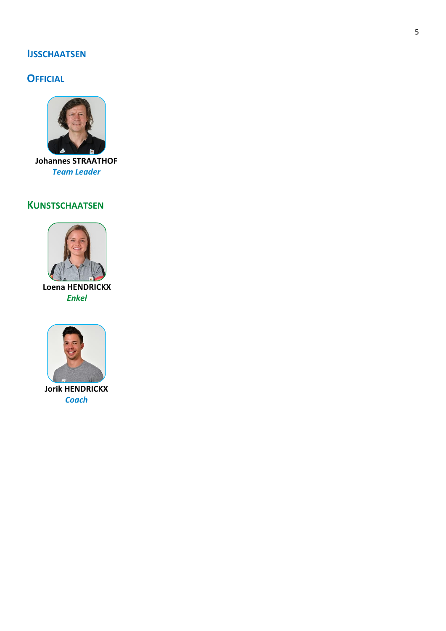### **IJSSCHAATSEN**

# **OFFICIAL**



**Johannes STRAATHOF Team Leader** 

# <span id="page-4-0"></span>**KUNSTSCHAATSEN**



**Enkel** 



**Jorik HENDRICKX Coach**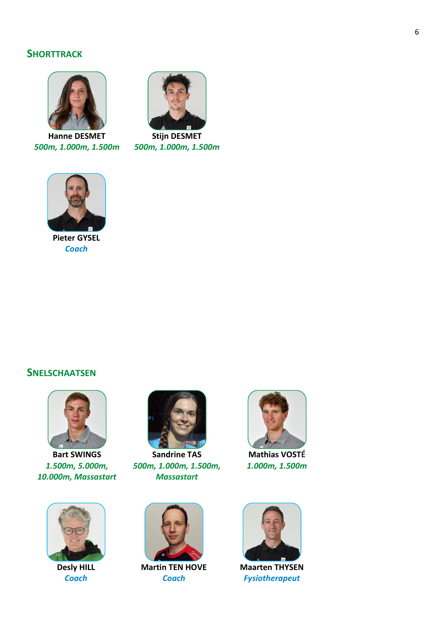### **SHORTTRACK**



**Hanne DESMET** *500m, 1.000m, 1.500m*



**Stijn DESMET** *500m, 1.000m, 1.500m*



**Pieter GYSEL** *Coach*

#### <span id="page-5-0"></span>**SNELSCHAATSEN**



**Bart SWINGS** *1.500m, 5.000m, 10.000m, Massastart*



**Desly HILL** *Coach*



**Sandrine TAS** *500m, 1.000m, 1.500m, Massastart*



**Martin TEN HOVE** *Coach*



**Maarten THYSEN** *Fysiotherapeut*



**Mathias VOSTÉ** *1.000m, 1.500m*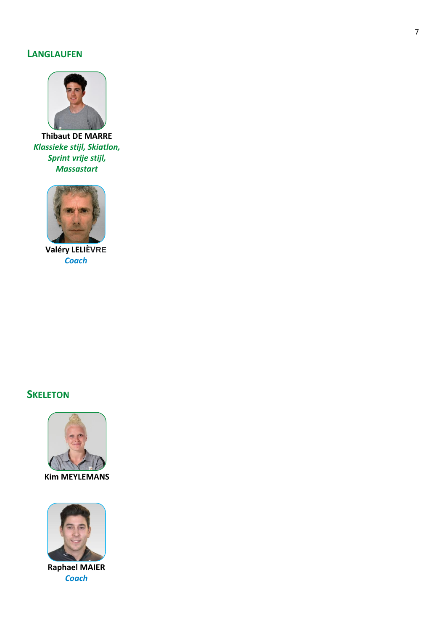### **LANGLAUFEN**



**Thibaut DE MARRE** *Klassieke stijl, Skiatlon, Sprint vrije stijl, Massastart*



**Valéry LELIÈVRE** *Coach*

# <span id="page-6-0"></span>**SKELETON**



**Kim MEYLEMANS**



**Raphael MAIER** *Coach*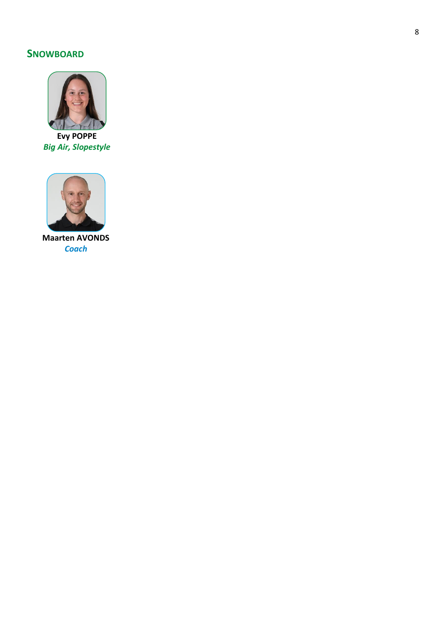# <span id="page-7-0"></span>**SNOWBOARD**



**Evy POPPE Big Air, Slopestyle** 

<span id="page-7-1"></span>

**Maarten AVONDS Coach**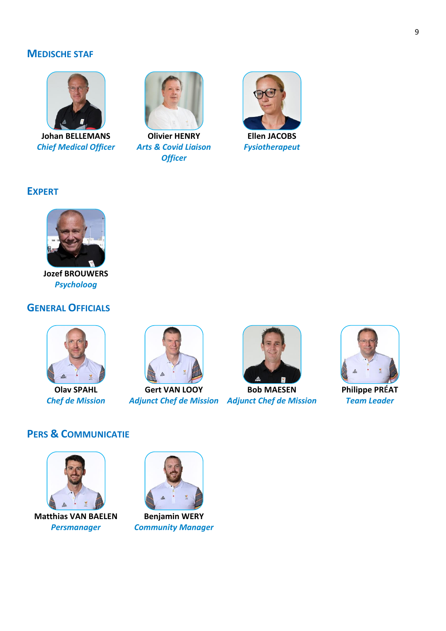### **MEDISCHE STAF**



**Johan BELLEMANS** *Chief Medical Officer*



**Olivier HENRY** *Arts & Covid Liaison Officer*



*Fysiotherapeut*

# <span id="page-8-0"></span>**EXPERT**



**Jozef BROUWERS** *Psycholoog*

### <span id="page-8-1"></span>**GENERAL OFFICIALS**



**Olav SPAHL** *Chef de Mission*



**Gert VAN LOOY**



*Adjunct Chef de Mission Adjunct Chef de Mission* **Bob MAESEN**



**Philippe PRÉAT** *Team Leader*

### <span id="page-8-2"></span>**PERS & COMMUNICATIE**



**Matthias VAN BAELEN** *Persmanager*



**Benjamin WERY** *Community Manager*